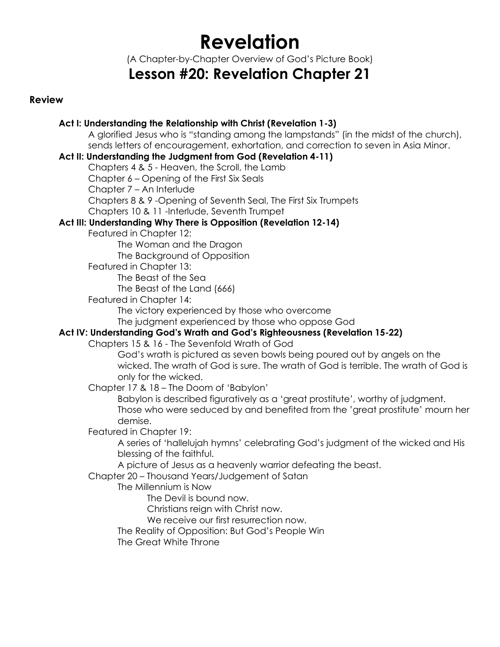# **Revelation**

(A Chapter-by-Chapter Overview of God's Picture Book)

## **Lesson #20: Revelation Chapter 21**

### **Review**

### **Act I: Understanding the Relationship with Christ (Revelation 1-3)**

A glorified Jesus who is "standing among the lampstands" (in the midst of the church), sends letters of encouragement, exhortation, and correction to seven in Asia Minor.

### **Act II: Understanding the Judgment from God (Revelation 4-11)**

Chapters 4 & 5 - Heaven, the Scroll, the Lamb

Chapter 6 – Opening of the First Six Seals

Chapter 7 – An Interlude

Chapters 8 & 9 -Opening of Seventh Seal, The First Six Trumpets

Chapters 10 & 11 -Interlude, Seventh Trumpet

### **Act III: Understanding Why There is Opposition (Revelation 12-14)**

Featured in Chapter 12:

The Woman and the Dragon The Background of Opposition

Featured in Chapter 13:

The Beast of the Sea

The Beast of the Land (666)

Featured in Chapter 14:

The victory experienced by those who overcome

The judgment experienced by those who oppose God

### **Act IV: Understanding God's Wrath and God's Righteousness (Revelation 15-22)**

Chapters 15 & 16 - The Sevenfold Wrath of God

God's wrath is pictured as seven bowls being poured out by angels on the wicked. The wrath of God is sure. The wrath of God is terrible. The wrath of God is only for the wicked.

Chapter 17 & 18 – The Doom of 'Babylon'

Babylon is described figuratively as a 'great prostitute', worthy of judgment. Those who were seduced by and benefited from the 'great prostitute' mourn her demise.

Featured in Chapter 19:

A series of 'hallelujah hymns' celebrating God's judgment of the wicked and His blessing of the faithful.

A picture of Jesus as a heavenly warrior defeating the beast.

Chapter 20 – Thousand Years/Judgement of Satan

The Millennium is Now

The Devil is bound now.

Christians reign with Christ now.

We receive our first resurrection now.

The Reality of Opposition: But God's People Win

The Great White Throne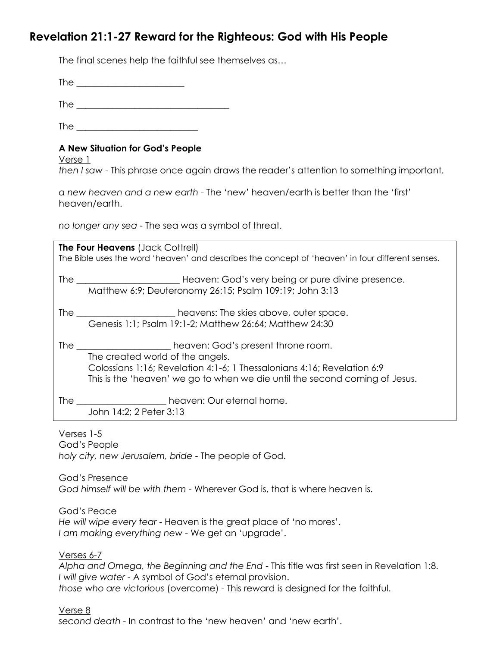### **Revelation 21:1-27 Reward for the Righteous: God with His People**

The final scenes help the faithful see themselves as…

The  $\overline{\phantom{a}}$ 

The  $\overline{\phantom{a}}$ 

The  $\blacksquare$ 

### **A New Situation for God's People**

Verse 1

*then I saw* - This phrase once again draws the reader's attention to something important.

*a new heaven and a new earth* - The 'new' heaven/earth is better than the 'first' heaven/earth.

*no longer any sea* - The sea was a symbol of threat.

| The Four Heavens (Jack Cottrell)<br>The Bible uses the word 'heaven' and describes the concept of 'heaven' in four different senses. |                                                                                                                                                                                                                                                             |
|--------------------------------------------------------------------------------------------------------------------------------------|-------------------------------------------------------------------------------------------------------------------------------------------------------------------------------------------------------------------------------------------------------------|
|                                                                                                                                      | Matthew 6:9; Deuteronomy 26:15; Psalm 109:19; John 3:13                                                                                                                                                                                                     |
|                                                                                                                                      | Genesis 1:1; Psalm 19:1-2; Matthew 26:64; Matthew 24:30                                                                                                                                                                                                     |
|                                                                                                                                      | The _______________________heaven: God's present throne room.<br>The created world of the angels.<br>Colossians 1:16; Revelation 4:1-6; 1 Thessalonians 4:16; Revelation 6:9<br>This is the 'heaven' we go to when we die until the second coming of Jesus. |
|                                                                                                                                      | The _______________________heaven: Our eternal home.<br>John 14:2; 2 Peter 3:13                                                                                                                                                                             |

Verses 1-5 God's People *holy city, new Jerusalem, bride* - The people of God.

God's Presence *God himself will be with them* - Wherever God is, that is where heaven is.

God's Peace *He will wipe every tear* - Heaven is the great place of 'no mores'. *I am making everything new* - We get an 'upgrade'.

Verses 6-7

*Alpha and Omega, the Beginning and the End* - This title was first seen in Revelation 1:8. *I will give water* - A symbol of God's eternal provision. *those who are victorious* (overcome) - This reward is designed for the faithful.

Verse 8 *second death* - In contrast to the 'new heaven' and 'new earth'.